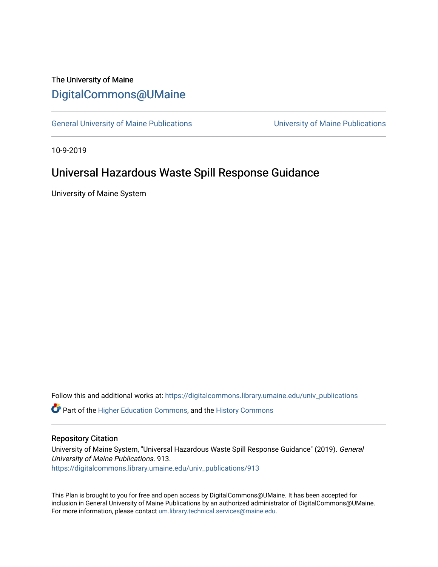# The University of Maine [DigitalCommons@UMaine](https://digitalcommons.library.umaine.edu/)

[General University of Maine Publications](https://digitalcommons.library.umaine.edu/univ_publications) [University of Maine Publications](https://digitalcommons.library.umaine.edu/umaine_publications) 

10-9-2019

# Universal Hazardous Waste Spill Response Guidance

University of Maine System

Follow this and additional works at: [https://digitalcommons.library.umaine.edu/univ\\_publications](https://digitalcommons.library.umaine.edu/univ_publications?utm_source=digitalcommons.library.umaine.edu%2Funiv_publications%2F913&utm_medium=PDF&utm_campaign=PDFCoverPages) 

**C** Part of the [Higher Education Commons,](http://network.bepress.com/hgg/discipline/1245?utm_source=digitalcommons.library.umaine.edu%2Funiv_publications%2F913&utm_medium=PDF&utm_campaign=PDFCoverPages) and the [History Commons](http://network.bepress.com/hgg/discipline/489?utm_source=digitalcommons.library.umaine.edu%2Funiv_publications%2F913&utm_medium=PDF&utm_campaign=PDFCoverPages)

#### Repository Citation

University of Maine System, "Universal Hazardous Waste Spill Response Guidance" (2019). General University of Maine Publications. 913. [https://digitalcommons.library.umaine.edu/univ\\_publications/913](https://digitalcommons.library.umaine.edu/univ_publications/913?utm_source=digitalcommons.library.umaine.edu%2Funiv_publications%2F913&utm_medium=PDF&utm_campaign=PDFCoverPages) 

This Plan is brought to you for free and open access by DigitalCommons@UMaine. It has been accepted for inclusion in General University of Maine Publications by an authorized administrator of DigitalCommons@UMaine. For more information, please contact [um.library.technical.services@maine.edu](mailto:um.library.technical.services@maine.edu).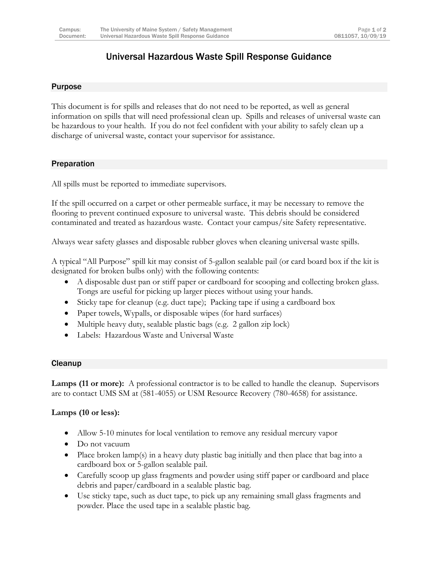# Universal Hazardous Waste Spill Response Guidance

#### Purpose

This document is for spills and releases that do not need to be reported, as well as general information on spills that will need professional clean up. Spills and releases of universal waste can be hazardous to your health. If you do not feel confident with your ability to safely clean up a discharge of universal waste, contact your supervisor for assistance.

#### Preparation

All spills must be reported to immediate supervisors.

If the spill occurred on a carpet or other permeable surface, it may be necessary to remove the flooring to prevent continued exposure to universal waste. This debris should be considered contaminated and treated as hazardous waste. Contact your campus/site Safety representative.

Always wear safety glasses and disposable rubber gloves when cleaning universal waste spills.

A typical "All Purpose" spill kit may consist of 5-gallon sealable pail (or card board box if the kit is designated for broken bulbs only) with the following contents:

- A disposable dust pan or stiff paper or cardboard for scooping and collecting broken glass. Tongs are useful for picking up larger pieces without using your hands.
- Sticky tape for cleanup (e.g. duct tape); Packing tape if using a cardboard box
- Paper towels, Wypalls, or disposable wipes (for hard surfaces)
- Multiple heavy duty, sealable plastic bags (e.g. 2 gallon zip lock)
- Labels: Hazardous Waste and Universal Waste

#### **Cleanup**

**Lamps (11 or more):** A professional contractor is to be called to handle the cleanup. Supervisors are to contact UMS SM at (581-4055) or USM Resource Recovery (780-4658) for assistance.

#### **Lamps (10 or less):**

- Allow 5-10 minutes for local ventilation to remove any residual mercury vapor
- Do not vacuum
- Place broken lamp(s) in a heavy duty plastic bag initially and then place that bag into a cardboard box or 5-gallon sealable pail.
- Carefully scoop up glass fragments and powder using stiff paper or cardboard and place debris and paper/cardboard in a sealable plastic bag.
- Use sticky tape, such as duct tape, to pick up any remaining small glass fragments and powder. Place the used tape in a sealable plastic bag.